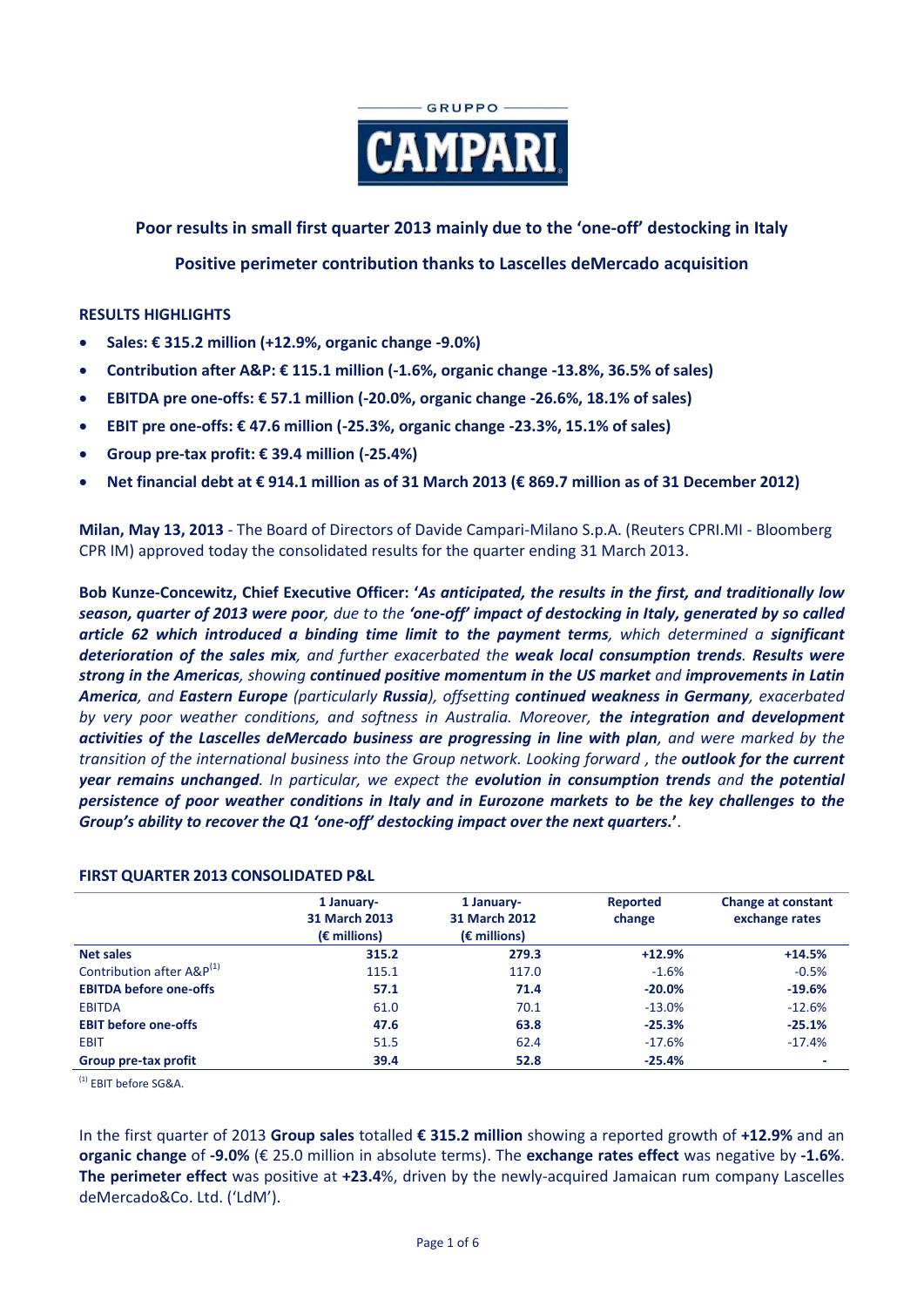

**Poor results in small first quarter 2013 mainly due to the 'one-off' destocking in Italy**

## **Positive perimeter contribution thanks to Lascelles deMercado acquisition**

### **RESULTS HIGHLIGHTS**

- **Sales: € 315.2 million (+12.9%, organic change -9.0%)**
- **Contribution after A&P: € 115.1 million (-1.6%, organic change -13.8%, 36.5% of sales)**
- **EBITDA pre one-offs: € 57.1 million (-20.0%, organic change -26.6%, 18.1% of sales)**
- **EBIT pre one-offs: € 47.6 million (-25.3%, organic change -23.3%, 15.1% of sales)**
- **Group pre-tax profit: € 39.4 million (-25.4%)**
- **Net financial debt at € 914.1 million as of 31 March 2013 (€ 869.7 million as of 31 December 2012)**

**Milan, May 13, 2013** - The Board of Directors of Davide Campari-Milano S.p.A. (Reuters CPRI.MI - Bloomberg CPR IM) approved today the consolidated results for the quarter ending 31 March 2013.

**Bob Kunze-Concewitz, Chief Executive Officer: '***As anticipated, the results in the first, and traditionally low season, quarter of 2013 were poor, due to the 'one-off' impact of destocking in Italy, generated by so called article 62 which introduced a binding time limit to the payment terms, which determined a significant deterioration of the sales mix, and further exacerbated the weak local consumption trends. Results were strong in the Americas, showing continued positive momentum in the US market and improvements in Latin America, and Eastern Europe (particularly Russia), offsetting continued weakness in Germany, exacerbated by very poor weather conditions, and softness in Australia. Moreover, the integration and development activities of the Lascelles deMercado business are progressing in line with plan, and were marked by the transition of the international business into the Group network. Looking forward , the outlook for the current year remains unchanged. In particular, we expect the evolution in consumption trends and the potential persistence of poor weather conditions in Italy and in Eurozone markets to be the key challenges to the Group's ability to recover the Q1 'one-off' destocking impact over the next quarters.***'**.

#### **FIRST QUARTER 2013 CONSOLIDATED P&L**

|                                       | 1 January-            | 1 January-            | Reported | <b>Change at constant</b> |
|---------------------------------------|-----------------------|-----------------------|----------|---------------------------|
|                                       | 31 March 2013         | 31 March 2012         | change   | exchange rates            |
|                                       | $(\epsilon$ millions) | $(\epsilon$ millions) |          |                           |
| <b>Net sales</b>                      | 315.2                 | 279.3                 | $+12.9%$ | $+14.5%$                  |
| Contribution after A&P <sup>(1)</sup> | 115.1                 | 117.0                 | $-1.6%$  | $-0.5%$                   |
| <b>EBITDA before one-offs</b>         | 57.1                  | 71.4                  | $-20.0%$ | $-19.6%$                  |
| <b>EBITDA</b>                         | 61.0                  | 70.1                  | $-13.0%$ | $-12.6%$                  |
| <b>EBIT before one-offs</b>           | 47.6                  | 63.8                  | $-25.3%$ | $-25.1%$                  |
| <b>EBIT</b>                           | 51.5                  | 62.4                  | $-17.6%$ | $-17.4%$                  |
| Group pre-tax profit                  | 39.4                  | 52.8                  | $-25.4%$ |                           |

(1) EBIT before SG&A.

In the first quarter of 2013 **Group sales** totalled **€ 315.2 million** showing a reported growth of **+12.9%** and an **organic change** of **-9.0%** (€ 25.0 million in absolute terms). The **exchange rates effect** was negative by **-1.6%**. **The perimeter effect** was positive at **+23.4**%, driven by the newly-acquired Jamaican rum company Lascelles deMercado&Co. Ltd. ('LdM').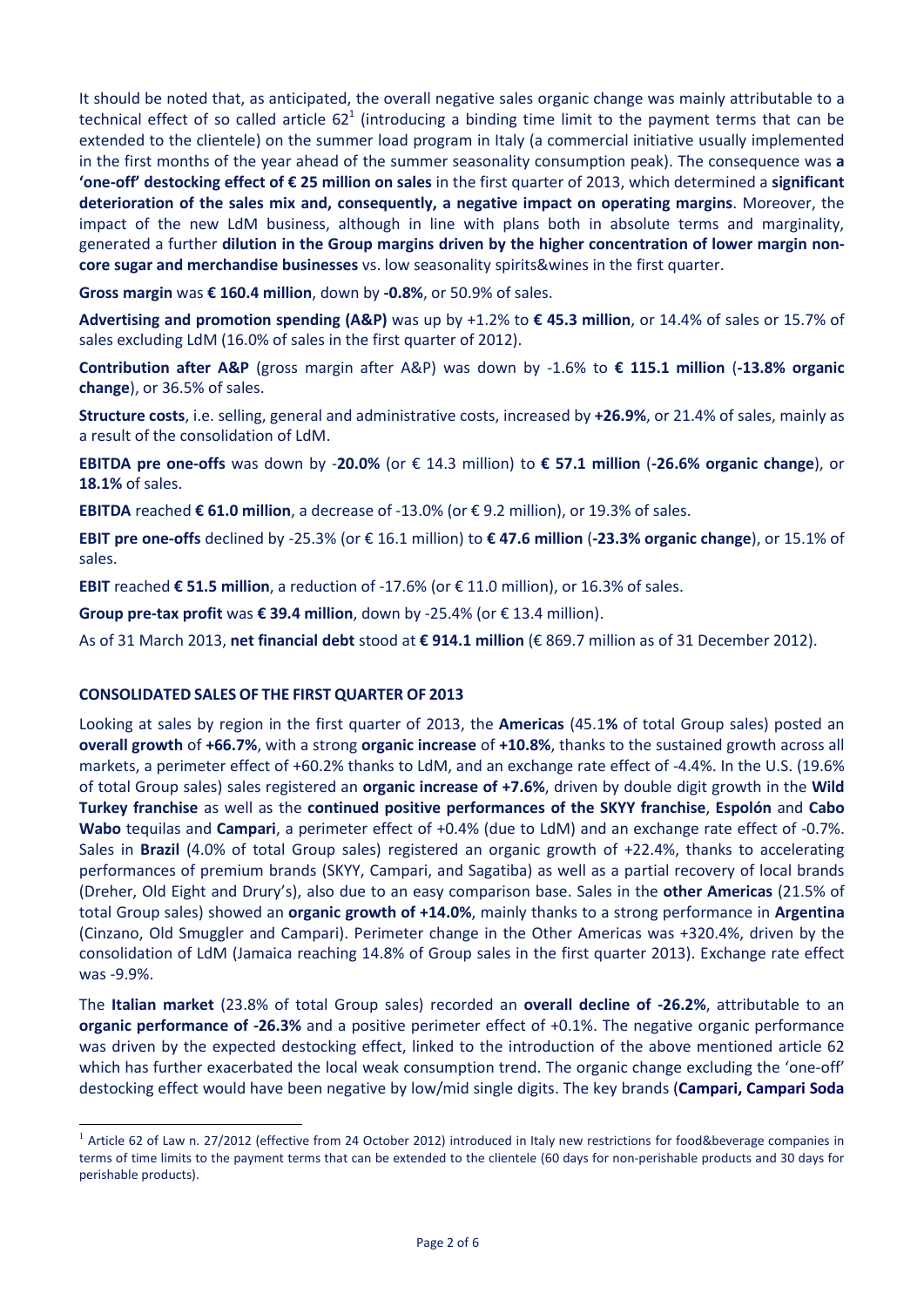It should be noted that, as anticipated, the overall negative sales organic change was mainly attributable to a technical effect of so called article  $62<sup>1</sup>$  (introducing a binding time limit to the payment terms that can be extended to the clientele) on the summer load program in Italy (a commercial initiative usually implemented in the first months of the year ahead of the summer seasonality consumption peak). The consequence was **a 'one-off' destocking effect of € 25 million on sales** in the first quarter of 2013, which determined a **significant deterioration of the sales mix and, consequently, a negative impact on operating margins**. Moreover, the impact of the new LdM business, although in line with plans both in absolute terms and marginality, generated a further **dilution in the Group margins driven by the higher concentration of lower margin noncore sugar and merchandise businesses** vs. low seasonality spirits&wines in the first quarter.

**Gross margin** was **€ 160.4 million**, down by **-0.8%**, or 50.9% of sales.

**Advertising and promotion spending (A&P)** was up by +1.2% to **€ 45.3 million**, or 14.4% of sales or 15.7% of sales excluding LdM (16.0% of sales in the first quarter of 2012).

**Contribution after A&P** (gross margin after A&P) was down by -1.6% to **€ 115.1 million** (**-13.8% organic change**), or 36.5% of sales.

**Structure costs**, i.e. selling, general and administrative costs, increased by **+26.9%**, or 21.4% of sales, mainly as a result of the consolidation of LdM.

**EBITDA pre one-offs** was down by -**20.0%** (or € 14.3 million) to **€ 57.1 million** (**-26.6% organic change**), or **18.1%** of sales.

**EBITDA** reached **€ 61.0 million**, a decrease of -13.0% (or € 9.2 million), or 19.3% of sales.

**EBIT pre one-offs** declined by -25.3% (or € 16.1 million) to **€ 47.6 million** (**-23.3% organic change**), or 15.1% of sales.

**EBIT** reached **€ 51.5 million**, a reduction of -17.6% (or € 11.0 million), or 16.3% of sales.

**Group pre-tax profit** was **€ 39.4 million**, down by -25.4% (or € 13.4 million).

As of 31 March 2013, **net financial debt** stood at **€ 914.1 million** (€ 869.7 million as of 31 December 2012).

### **CONSOLIDATED SALES OF THE FIRST QUARTER OF 2013**

-

Looking at sales by region in the first quarter of 2013, the **Americas** (45.1**%** of total Group sales) posted an **overall growth** of **+66.7%**, with a strong **organic increase** of **+10.8%**, thanks to the sustained growth across all markets, a perimeter effect of +60.2% thanks to LdM, and an exchange rate effect of -4.4%. In the U.S. (19.6% of total Group sales) sales registered an **organic increase of +7.6%**, driven by double digit growth in the **Wild Turkey franchise** as well as the **continued positive performances of the SKYY franchise**, **Espolón** and **Cabo Wabo** tequilas and **Campari**, a perimeter effect of +0.4% (due to LdM) and an exchange rate effect of -0.7%. Sales in **Brazil** (4.0% of total Group sales) registered an organic growth of +22.4%, thanks to accelerating performances of premium brands (SKYY, Campari, and Sagatiba) as well as a partial recovery of local brands (Dreher, Old Eight and Drury's), also due to an easy comparison base. Sales in the **other Americas** (21.5% of total Group sales) showed an **organic growth of +14.0%**, mainly thanks to a strong performance in **Argentina** (Cinzano, Old Smuggler and Campari). Perimeter change in the Other Americas was +320.4%, driven by the consolidation of LdM (Jamaica reaching 14.8% of Group sales in the first quarter 2013). Exchange rate effect was -9.9%.

The **Italian market** (23.8% of total Group sales) recorded an **overall decline of -26.2%**, attributable to an **organic performance of -26.3%** and a positive perimeter effect of +0.1%. The negative organic performance was driven by the expected destocking effect, linked to the introduction of the above mentioned article 62 which has further exacerbated the local weak consumption trend. The organic change excluding the 'one-off' destocking effect would have been negative by low/mid single digits. The key brands (**Campari, Campari Soda**

 $1$  Article 62 of Law n. 27/2012 (effective from 24 October 2012) introduced in Italy new restrictions for food&beverage companies in terms of time limits to the payment terms that can be extended to the clientele (60 days for non-perishable products and 30 days for perishable products).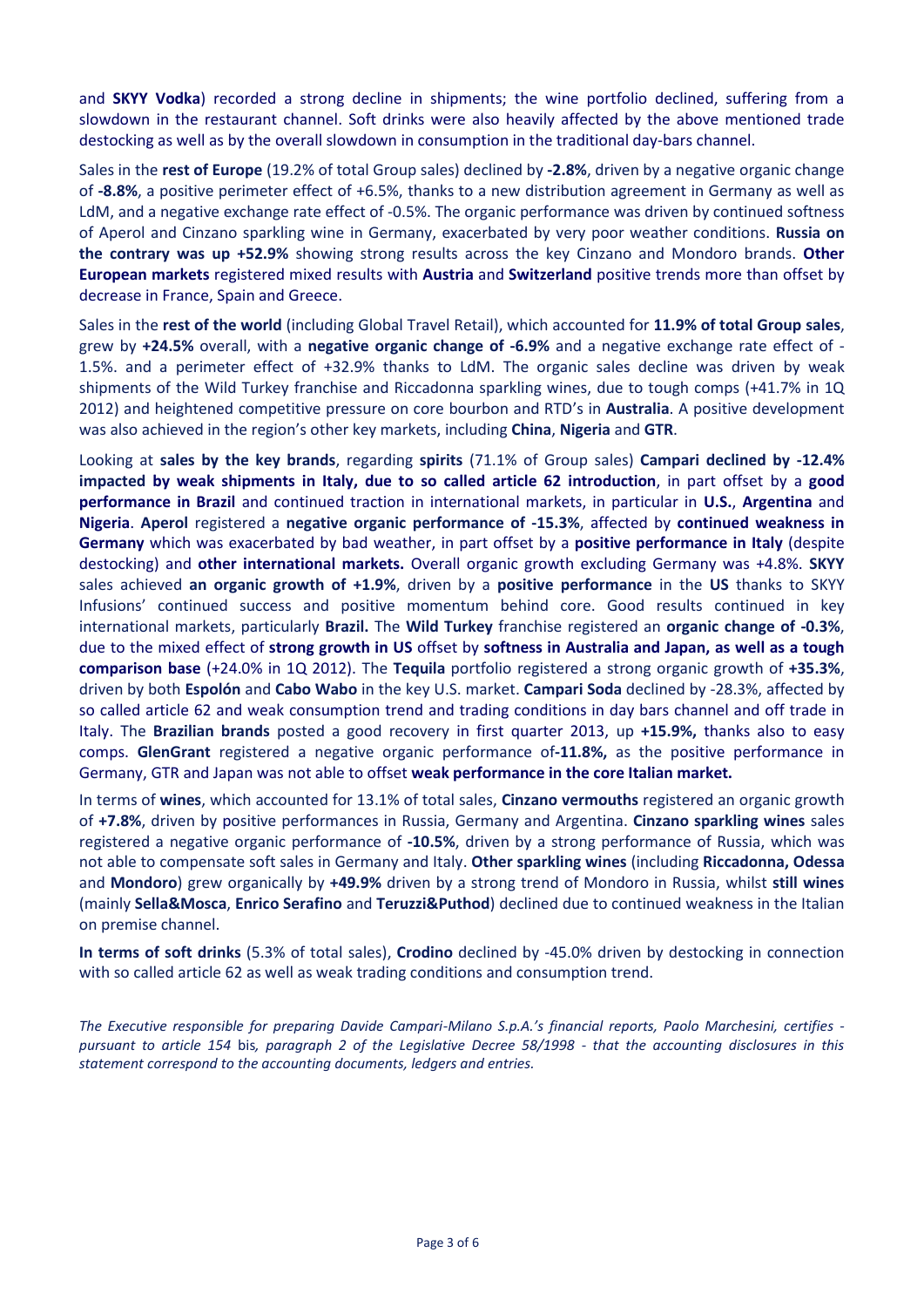and **SKYY Vodka**) recorded a strong decline in shipments; the wine portfolio declined, suffering from a slowdown in the restaurant channel. Soft drinks were also heavily affected by the above mentioned trade destocking as well as by the overall slowdown in consumption in the traditional day-bars channel.

Sales in the **rest of Europe** (19.2% of total Group sales) declined by **-2.8%**, driven by a negative organic change of **-8.8%**, a positive perimeter effect of +6.5%, thanks to a new distribution agreement in Germany as well as LdM, and a negative exchange rate effect of -0.5%. The organic performance was driven by continued softness of Aperol and Cinzano sparkling wine in Germany, exacerbated by very poor weather conditions. **Russia on the contrary was up +52.9%** showing strong results across the key Cinzano and Mondoro brands. **Other European markets** registered mixed results with **Austria** and **Switzerland** positive trends more than offset by decrease in France, Spain and Greece.

Sales in the **rest of the world** (including Global Travel Retail), which accounted for **11.9% of total Group sales**, grew by **+24.5%** overall, with a **negative organic change of -6.9%** and a negative exchange rate effect of - 1.5%. and a perimeter effect of +32.9% thanks to LdM. The organic sales decline was driven by weak shipments of the Wild Turkey franchise and Riccadonna sparkling wines, due to tough comps (+41.7% in 1Q 2012) and heightened competitive pressure on core bourbon and RTD's in **Australia**. A positive development was also achieved in the region's other key markets, including **China**, **Nigeria** and **GTR**.

Looking at **sales by the key brands**, regarding **spirits** (71.1% of Group sales) **Campari declined by -12.4% impacted by weak shipments in Italy, due to so called article 62 introduction**, in part offset by a **good performance in Brazil** and continued traction in international markets, in particular in **U.S.**, **Argentina** and **Nigeria**. **Aperol** registered a **negative organic performance of -15.3%**, affected by **continued weakness in Germany** which was exacerbated by bad weather, in part offset by a **positive performance in Italy** (despite destocking) and **other international markets.** Overall organic growth excluding Germany was +4.8%. **SKYY**  sales achieved **an organic growth of +1.9%**, driven by a **positive performance** in the **US** thanks to SKYY Infusions' continued success and positive momentum behind core. Good results continued in key international markets, particularly **Brazil.** The **Wild Turkey** franchise registered an **organic change of -0.3%**, due to the mixed effect of **strong growth in US** offset by **softness in Australia and Japan, as well as a tough comparison base** (+24.0% in 1Q 2012). The **Tequila** portfolio registered a strong organic growth of **+35.3%**, driven by both **Espolón** and **Cabo Wabo** in the key U.S. market. **Campari Soda** declined by -28.3%, affected by so called article 62 and weak consumption trend and trading conditions in day bars channel and off trade in Italy. The **Brazilian brands** posted a good recovery in first quarter 2013, up **+15.9%,** thanks also to easy comps. **GlenGrant** registered a negative organic performance of**-11.8%,** as the positive performance in Germany, GTR and Japan was not able to offset **weak performance in the core Italian market.**

In terms of **wines**, which accounted for 13.1% of total sales, **Cinzano vermouths** registered an organic growth of **+7.8%**, driven by positive performances in Russia, Germany and Argentina. **Cinzano sparkling wines** sales registered a negative organic performance of **-10.5%**, driven by a strong performance of Russia, which was not able to compensate soft sales in Germany and Italy. **Other sparkling wines** (including **Riccadonna, Odessa** and **Mondoro**) grew organically by **+49.9%** driven by a strong trend of Mondoro in Russia, whilst **still wines**  (mainly **Sella&Mosca**, **Enrico Serafino** and **Teruzzi&Puthod**) declined due to continued weakness in the Italian on premise channel.

**In terms of soft drinks** (5.3% of total sales), **Crodino** declined by -45.0% driven by destocking in connection with so called article 62 as well as weak trading conditions and consumption trend.

*The Executive responsible for preparing Davide Campari-Milano S.p.A.'s financial reports, Paolo Marchesini, certifies pursuant to article 154* bis*, paragraph 2 of the Legislative Decree 58/1998 - that the accounting disclosures in this statement correspond to the accounting documents, ledgers and entries.*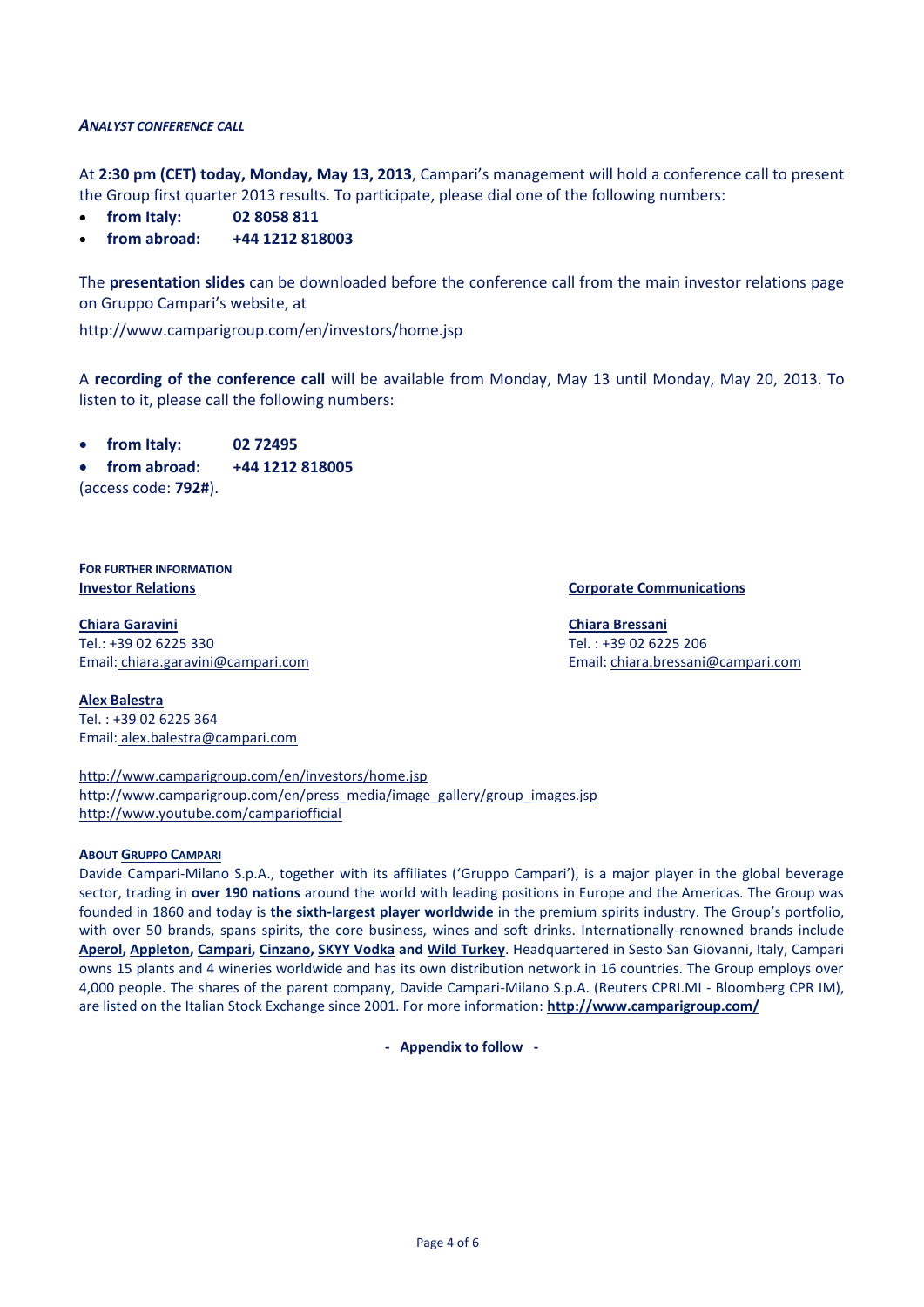#### *ANALYST CONFERENCE CALL*

At **2:30 pm (CET) today, Monday, May 13, 2013**, Campari's management will hold a conference call to present the Group first quarter 2013 results. To participate, please dial one of the following numbers:

- **from Italy: 02 8058 811**
- **from abroad: +44 1212 818003**

The **presentation slides** can be downloaded before the conference call from the main investor relations page on Gruppo Campari's website, at

http://www.camparigroup.com/en/investors/home.jsp

A **recording of the conference call** will be available from Monday, May 13 until Monday, May 20, 2013. To listen to it, please call the following numbers:

**from Italy: 02 72495**

**from abroad: +44 1212 818005**

(access code: **792#**).

**FOR FURTHER INFORMATION**

**Chiara Garavini** Tel.: +39 02 6225 330 Email: [chiara.garavini@campari.com](mailto:chiara.garavini@campari.com)

**Investor Relations Corporate Communications**

**Chiara Bressani** Tel. : +39 02 6225 206 Email[: chiara.bressani@campari.com](mailto:chiara.bressani@campari.com)

**Alex Balestra** Tel. : +39 02 6225 364 Email: alex.balestra@campari.com

<http://www.camparigroup.com/en/investors/home.jsp> [http://www.camparigroup.com/en/press\\_media/image\\_gallery/group\\_images.jsp](http://www.camparigroup.com/en/press_media/image_gallery/group_images.jsp) http://www.youtube.com/campariofficial

#### **ABOUT GRUPPO C[AMPARI](http://www.camparigroup.com/en/index.shtml)**

Davide Campari-Milano S.p.A., together with its affiliates ('Gruppo Campari'), is a major player in the global beverage sector, trading in **over 190 nations** around the world with leading positions in Europe and the Americas. The Group was founded in 1860 and today is **the sixth-largest player worldwide** in the premium spirits industry. The Group's portfolio, with over 50 brands, spans spirits, the core business, wines and soft drinks. Internationally-renowned brands include **[Aperol,](http://www.aperol.com/?http%3A//www.aperol.com/) [Appleton,](http://www.appletonestate.com/) [Campari,](http://www.campari.com/) [Cinzano,](http://www.cinzano.com/) [SKYY Vodka](http://www.skyy.com/) and [Wild Turkey](http://www.wildturkeybourbon.com.au/)**. Headquartered in Sesto San Giovanni, Italy, Campari owns 15 plants and 4 wineries worldwide and has its own distribution network in 16 countries. The Group employs over 4,000 people. The shares of the parent company, Davide Campari-Milano S.p.A. (Reuters CPRI.MI - Bloomberg CPR IM), are listed on the Italian Stock Exchange since 2001. For more information: **[http://www.camparigroup.com/](http://www.camparigroup.com/en/index.shtml)**

**- Appendix to follow -**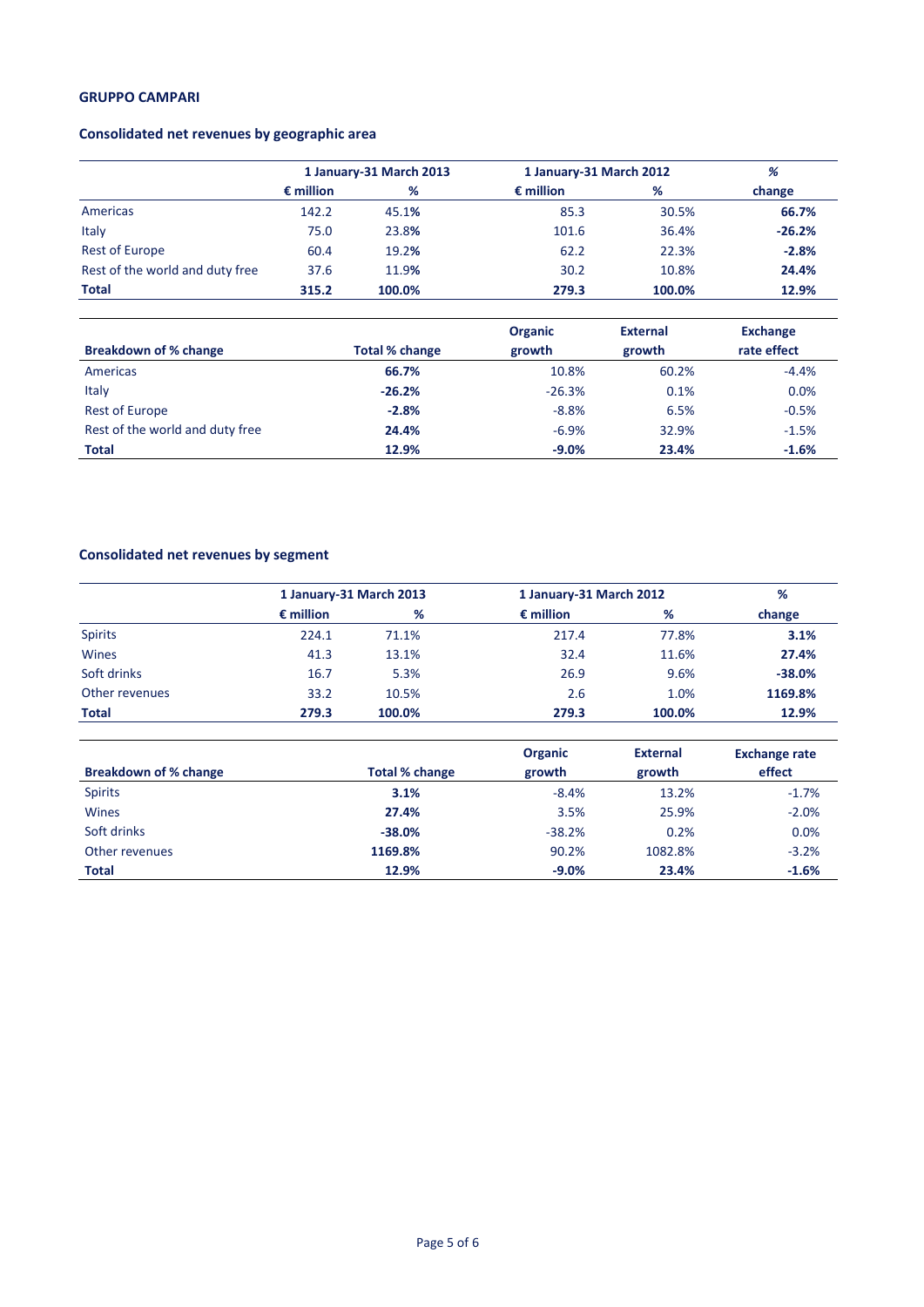### **GRUPPO CAMPARI**

## **Consolidated net revenues by geographic area**

|                                 | 1 January-31 March 2013 |        | 1 January-31 March 2012 |        | %        |  |
|---------------------------------|-------------------------|--------|-------------------------|--------|----------|--|
|                                 | $\epsilon$ million      | %      | $\epsilon$ million      | %      | change   |  |
| Americas                        | 142.2                   | 45.1%  | 85.3                    | 30.5%  | 66.7%    |  |
| Italy                           | 75.0                    | 23.8%  | 101.6                   | 36.4%  | $-26.2%$ |  |
| <b>Rest of Europe</b>           | 60.4                    | 19.2%  | 62.2                    | 22.3%  | $-2.8%$  |  |
| Rest of the world and duty free | 37.6                    | 11.9%  | 30.2                    | 10.8%  | 24.4%    |  |
| <b>Total</b>                    | 315.2                   | 100.0% | 279.3                   | 100.0% | 12.9%    |  |

|                                 |                | <b>Organic</b><br><b>External</b> |                       | <b>Exchange</b> |
|---------------------------------|----------------|-----------------------------------|-----------------------|-----------------|
| <b>Breakdown of % change</b>    | Total % change | growth                            | rate effect<br>growth |                 |
| Americas                        | 66.7%          | 10.8%                             | 60.2%                 | $-4.4%$         |
| Italy                           | $-26.2%$       | $-26.3%$                          | 0.1%                  | 0.0%            |
| <b>Rest of Europe</b>           | $-2.8%$        | $-8.8%$                           | 6.5%                  | $-0.5%$         |
| Rest of the world and duty free | 24.4%          | $-6.9%$                           | 32.9%                 | $-1.5%$         |
| <b>Total</b>                    | 12.9%          | $-9.0%$                           | 23.4%                 | $-1.6%$         |

# **Consolidated net revenues by segment**

|                | 1 January-31 March 2013 |        | 1 January-31 March 2012 |        | %        |  |
|----------------|-------------------------|--------|-------------------------|--------|----------|--|
|                | $\epsilon$ million      | %      | $\epsilon$ million      | %      | change   |  |
| <b>Spirits</b> | 224.1                   | 71.1%  | 217.4                   | 77.8%  | 3.1%     |  |
| Wines          | 41.3                    | 13.1%  | 32.4                    | 11.6%  | 27.4%    |  |
| Soft drinks    | 16.7                    | 5.3%   | 26.9                    | 9.6%   | $-38.0%$ |  |
| Other revenues | 33.2                    | 10.5%  | 2.6                     | 1.0%   | 1169.8%  |  |
| <b>Total</b>   | 279.3                   | 100.0% | 279.3                   | 100.0% | 12.9%    |  |

|                              |                       | <b>Organic</b> | <b>External</b> | <b>Exchange rate</b> |
|------------------------------|-----------------------|----------------|-----------------|----------------------|
| <b>Breakdown of % change</b> | <b>Total % change</b> | growth         | growth          | effect               |
| <b>Spirits</b>               | 3.1%                  | $-8.4%$        | 13.2%           | $-1.7%$              |
| <b>Wines</b>                 | 27.4%                 | 3.5%           | 25.9%           | $-2.0%$              |
| Soft drinks                  | $-38.0%$              | $-38.2%$       | 0.2%            | 0.0%                 |
| Other revenues               | 1169.8%               | 90.2%          | 1082.8%         | $-3.2%$              |
| <b>Total</b>                 | 12.9%                 | $-9.0%$        | 23.4%           | $-1.6%$              |